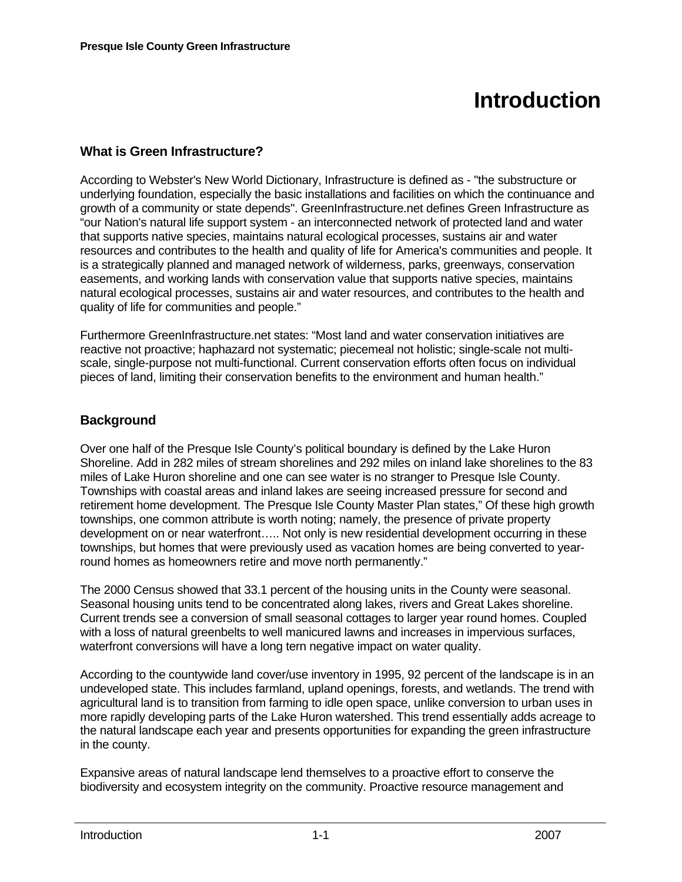# **Introduction**

## **What is Green Infrastructure?**

According to Webster's New World Dictionary, Infrastructure is defined as - "the substructure or underlying foundation, especially the basic installations and facilities on which the continuance and growth of a community or state depends". GreenInfrastructure.net defines Green Infrastructure as "our Nation's natural life support system - an interconnected network of protected land and water that supports native species, maintains natural ecological processes, sustains air and water resources and contributes to the health and quality of life for America's communities and people. It is a strategically planned and managed network of wilderness, parks, greenways, conservation easements, and working lands with conservation value that supports native species, maintains natural ecological processes, sustains air and water resources, and contributes to the health and quality of life for communities and people."

Furthermore GreenInfrastructure.net states: "Most land and water conservation initiatives are reactive not proactive; haphazard not systematic; piecemeal not holistic; single-scale not multiscale, single-purpose not multi-functional. Current conservation efforts often focus on individual pieces of land, limiting their conservation benefits to the environment and human health."

#### **Background**

Over one half of the Presque Isle County's political boundary is defined by the Lake Huron Shoreline. Add in 282 miles of stream shorelines and 292 miles on inland lake shorelines to the 83 miles of Lake Huron shoreline and one can see water is no stranger to Presque Isle County. Townships with coastal areas and inland lakes are seeing increased pressure for second and retirement home development. The Presque Isle County Master Plan states," Of these high growth townships, one common attribute is worth noting; namely, the presence of private property development on or near waterfront….. Not only is new residential development occurring in these townships, but homes that were previously used as vacation homes are being converted to yearround homes as homeowners retire and move north permanently."

The 2000 Census showed that 33.1 percent of the housing units in the County were seasonal. Seasonal housing units tend to be concentrated along lakes, rivers and Great Lakes shoreline. Current trends see a conversion of small seasonal cottages to larger year round homes. Coupled with a loss of natural greenbelts to well manicured lawns and increases in impervious surfaces, waterfront conversions will have a long tern negative impact on water quality.

According to the countywide land cover/use inventory in 1995, 92 percent of the landscape is in an undeveloped state. This includes farmland, upland openings, forests, and wetlands. The trend with agricultural land is to transition from farming to idle open space, unlike conversion to urban uses in more rapidly developing parts of the Lake Huron watershed. This trend essentially adds acreage to the natural landscape each year and presents opportunities for expanding the green infrastructure in the county.

Expansive areas of natural landscape lend themselves to a proactive effort to conserve the biodiversity and ecosystem integrity on the community. Proactive resource management and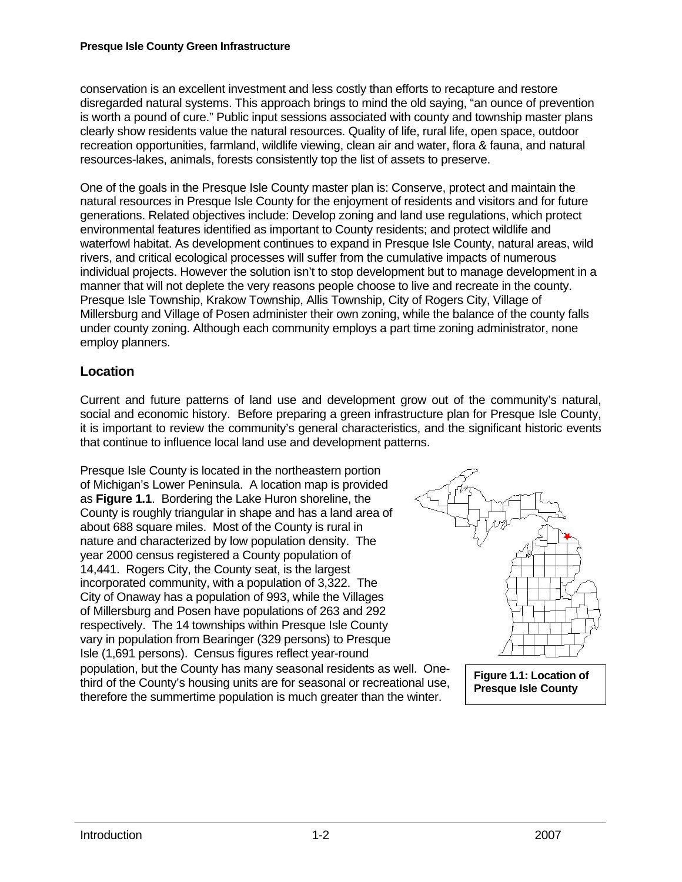conservation is an excellent investment and less costly than efforts to recapture and restore disregarded natural systems. This approach brings to mind the old saying, "an ounce of prevention is worth a pound of cure." Public input sessions associated with county and township master plans clearly show residents value the natural resources. Quality of life, rural life, open space, outdoor recreation opportunities, farmland, wildlife viewing, clean air and water, flora & fauna, and natural resources-lakes, animals, forests consistently top the list of assets to preserve.

One of the goals in the Presque Isle County master plan is: Conserve, protect and maintain the natural resources in Presque Isle County for the enjoyment of residents and visitors and for future generations. Related objectives include: Develop zoning and land use regulations, which protect environmental features identified as important to County residents; and protect wildlife and waterfowl habitat. As development continues to expand in Presque Isle County, natural areas, wild rivers, and critical ecological processes will suffer from the cumulative impacts of numerous individual projects. However the solution isn't to stop development but to manage development in a manner that will not deplete the very reasons people choose to live and recreate in the county. Presque Isle Township, Krakow Township, Allis Township, City of Rogers City, Village of Millersburg and Village of Posen administer their own zoning, while the balance of the county falls under county zoning. Although each community employs a part time zoning administrator, none employ planners.

### **Location**

Current and future patterns of land use and development grow out of the community's natural, social and economic history. Before preparing a green infrastructure plan for Presque Isle County, it is important to review the community's general characteristics, and the significant historic events that continue to influence local land use and development patterns.

Presque Isle County is located in the northeastern portion of Michigan's Lower Peninsula. A location map is provided as **Figure 1.1**. Bordering the Lake Huron shoreline, the County is roughly triangular in shape and has a land area of about 688 square miles. Most of the County is rural in nature and characterized by low population density. The year 2000 census registered a County population of 14,441. Rogers City, the County seat, is the largest incorporated community, with a population of 3,322. The City of Onaway has a population of 993, while the Villages of Millersburg and Posen have populations of 263 and 292 respectively. The 14 townships within Presque Isle County vary in population from Bearinger (329 persons) to Presque Isle (1,691 persons). Census figures reflect year-round population, but the County has many seasonal residents as well. Onethird of the County's housing units are for seasonal or recreational use, therefore the summertime population is much greater than the winter.